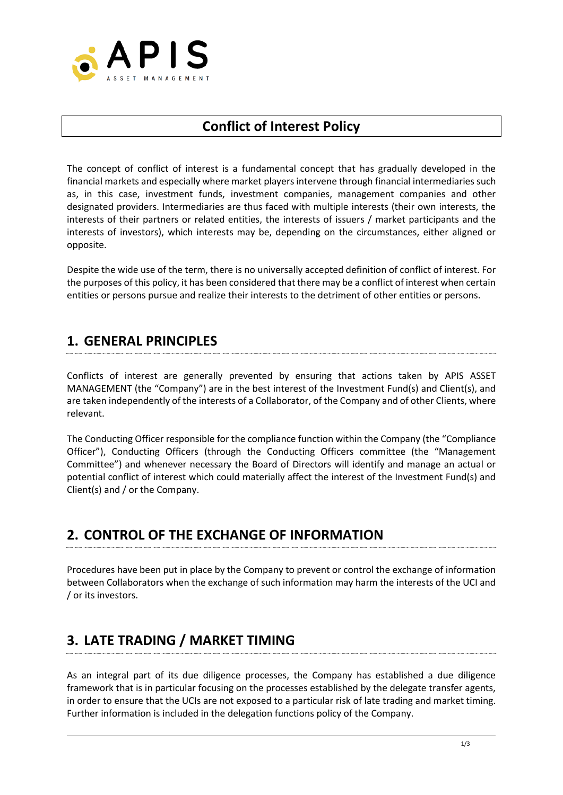

## **Conflict of Interest Policy**

The concept of conflict of interest is a fundamental concept that has gradually developed in the financial markets and especially where market players intervene through financial intermediaries such as, in this case, investment funds, investment companies, management companies and other designated providers. Intermediaries are thus faced with multiple interests (their own interests, the interests of their partners or related entities, the interests of issuers / market participants and the interests of investors), which interests may be, depending on the circumstances, either aligned or opposite.

Despite the wide use of the term, there is no universally accepted definition of conflict of interest. For the purposes of this policy, it has been considered that there may be a conflict of interest when certain entities or persons pursue and realize their interests to the detriment of other entities or persons.

### **1. GENERAL PRINCIPLES**

Conflicts of interest are generally prevented by ensuring that actions taken by APIS ASSET MANAGEMENT (the "Company") are in the best interest of the Investment Fund(s) and Client(s), and are taken independently of the interests of a Collaborator, of the Company and of other Clients, where relevant.

The Conducting Officer responsible for the compliance function within the Company (the "Compliance Officer"), Conducting Officers (through the Conducting Officers committee (the "Management Committee") and whenever necessary the Board of Directors will identify and manage an actual or potential conflict of interest which could materially affect the interest of the Investment Fund(s) and Client(s) and / or the Company.

## **2. CONTROL OF THE EXCHANGE OF INFORMATION**

Procedures have been put in place by the Company to prevent or control the exchange of information between Collaborators when the exchange of such information may harm the interests of the UCI and / or its investors.

# **3. LATE TRADING / MARKET TIMING**

As an integral part of its due diligence processes, the Company has established a due diligence framework that is in particular focusing on the processes established by the delegate transfer agents, in order to ensure that the UCIs are not exposed to a particular risk of late trading and market timing. Further information is included in the delegation functions policy of the Company.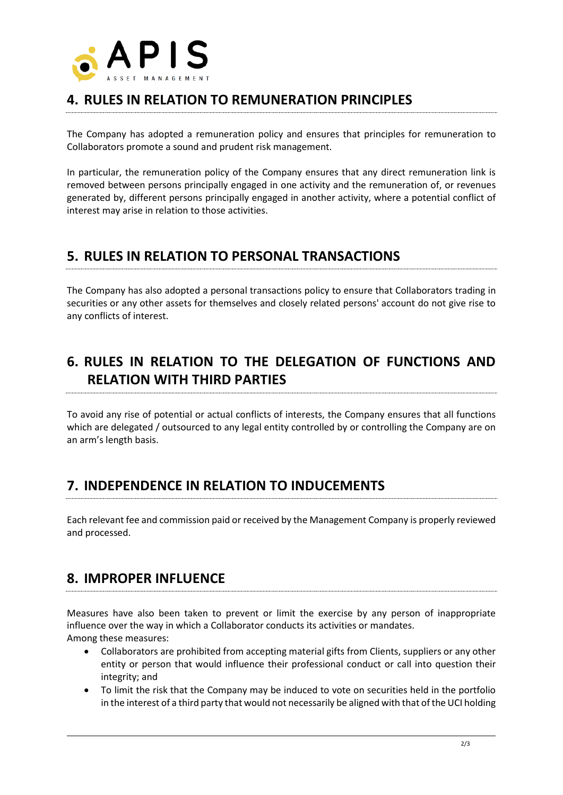

## **4. RULES IN RELATION TO REMUNERATION PRINCIPLES**

The Company has adopted a remuneration policy and ensures that principles for remuneration to Collaborators promote a sound and prudent risk management.

In particular, the remuneration policy of the Company ensures that any direct remuneration link is removed between persons principally engaged in one activity and the remuneration of, or revenues generated by, different persons principally engaged in another activity, where a potential conflict of interest may arise in relation to those activities.

## **5. RULES IN RELATION TO PERSONAL TRANSACTIONS**

The Company has also adopted a personal transactions policy to ensure that Collaborators trading in securities or any other assets for themselves and closely related persons' account do not give rise to any conflicts of interest.

# **6. RULES IN RELATION TO THE DELEGATION OF FUNCTIONS AND RELATION WITH THIRD PARTIES**

To avoid any rise of potential or actual conflicts of interests, the Company ensures that all functions which are delegated / outsourced to any legal entity controlled by or controlling the Company are on an arm's length basis.

## **7. INDEPENDENCE IN RELATION TO INDUCEMENTS**

Each relevant fee and commission paid or received by the Management Company is properly reviewed and processed.

#### **8. IMPROPER INFLUENCE**

Measures have also been taken to prevent or limit the exercise by any person of inappropriate influence over the way in which a Collaborator conducts its activities or mandates. Among these measures:

- Collaborators are prohibited from accepting material gifts from Clients, suppliers or any other entity or person that would influence their professional conduct or call into question their integrity; and
- To limit the risk that the Company may be induced to vote on securities held in the portfolio in the interest of a third party that would not necessarily be aligned with that of the UCI holding